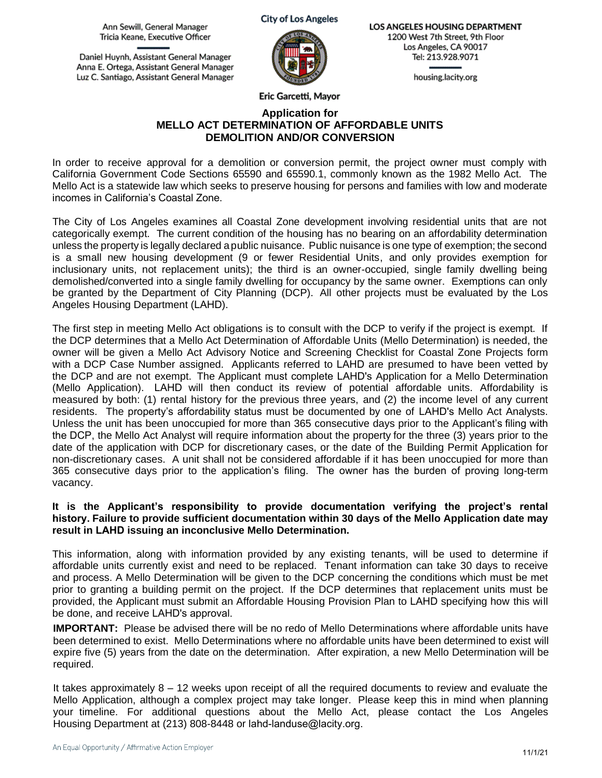Ann Sewill, General Manager Tricia Keane, Executive Officer

Daniel Huynh, Assistant General Manager Anna E. Ortega, Assistant General Manager Luz C. Santiago, Assistant General Manager



**LOS ANGELES HOUSING DEPARTMENT 1200 West** 7th Street, 9th Floor Los Angeles, CA 90017 Tel: **213.928.9071** 

housing.lacity.org

**Eric Garcetti, Mayor** 

#### **Application for MELLO ACT DETERMINATION OF AFFORDABLE UNITS DEMOLITION AND/OR CONVERSION**

In order to receive approval for a demolition or conversion permit, the project owner must comply with California Government Code Sections 65590 and 65590.1, commonly known as the 1982 Mello Act. The Mello Act is a statewide law which seeks to preserve housing for persons and families with low and moderate incomes in California's Coastal Zone.

The City of Los Angeles examines all Coastal Zone development involving residential units that are not categorically exempt. The current condition of the housing has no bearing on an affordability determination unless the property is legally declared a public nuisance. Public nuisance is one type of exemption; the second is a small new housing development (9 or fewer Residential Units, and only provides exemption for inclusionary units, not replacement units); the third is an owner-occupied, single family dwelling being demolished/converted into a single family dwelling for occupancy by the same owner. Exemptions can only be granted by the Department of City Planning (DCP). All other projects must be evaluated by the Los Angeles Housing Department (LAHD).

 365 consecutive days prior to the application's filing. The owner has the burden of proving long-term The first step in meeting Mello Act obligations is to consult with the DCP to verify if the project is exempt. If the DCP determines that a Mello Act Determination of Affordable Units (Mello Determination) is needed, the owner will be given a Mello Act Advisory Notice and Screening Checklist for Coastal Zone Projects form with a DCP Case Number assigned. Applicants referred to LAHD are presumed to have been vetted by the DCP and are not exempt. The Applicant must complete LAHD's Application for a Mello Determination (Mello Application). LAHD will then conduct its review of potential affordable units. Affordability is measured by both: (1) rental history for the previous three years, and (2) the income level of any current residents. The property's affordability status must be documented by one of LAHD's Mello Act Analysts. Unless the unit has been unoccupied for more than 365 consecutive days prior to the Applicant's filing with the DCP, the Mello Act Analyst will require information about the property for the three (3) years prior to the date of the application with DCP for discretionary cases, or the date of the Building Permit Application for non-discretionary cases. A unit shall not be considered affordable if it has been unoccupied for more than vacancy.

#### **It is the Applicant's responsibility to provide documentation verifying the project's rental history. Failure to provide sufficient documentation within 30 days of the Mello Application date may result in LAHD issuing an inconclusive Mello Determination.**

This information, along with information provided by any existing tenants, will be used to determine if affordable units currently exist and need to be replaced. Tenant information can take 30 days to receive and process. A Mello Determination will be given to the DCP concerning the conditions which must be met prior to granting a building permit on the project. If the DCP determines that replacement units must be provided, the Applicant must submit an Affordable Housing Provision Plan to LAHD specifying how this will be done, and receive LAHD's approval.

**IMPORTANT:** Please be advised there will be no redo of Mello Determinations where affordable units have been determined to exist. Mello Determinations where no affordable units have been determined to exist will expire five (5) years from the date on the determination. After expiration, a new Mello Determination will be required.

It takes approximately 8 – 12 weeks upon receipt of all the required documents to review and evaluate the Mello Application, although a complex project may take longer. Please keep this in mind when planning your timeline. For additional questions about the Mello Act, please contact the Los Angeles Housing Department at (213) 808-8448 or [lahd-landuse@lacity.org.](mailto:hcidla.landuse@lacity.org)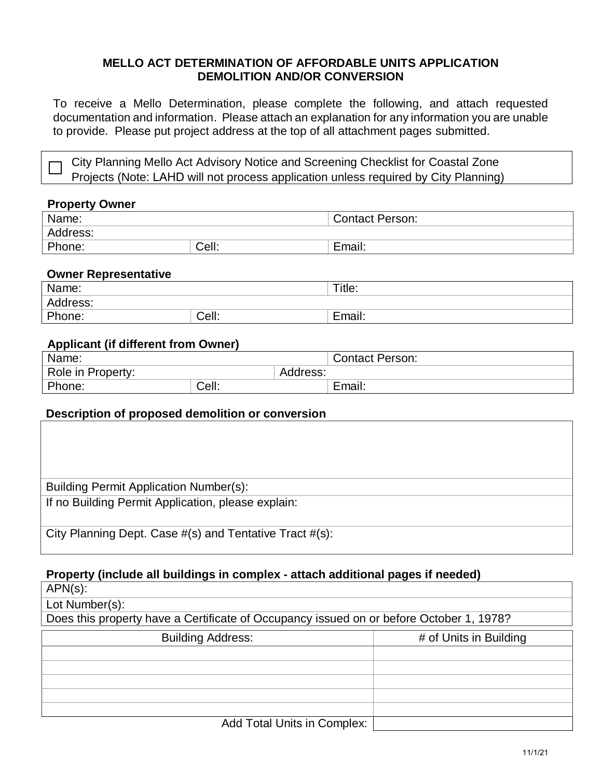### **MELLO ACT DETERMINATION OF AFFORDABLE UNITS APPLICATION DEMOLITION AND/OR CONVERSION**

To receive a Mello Determination, please complete the following, and attach requested documentation and information. Please attach an explanation for any information you are unable to provide. Please put project address at the top of all attachment pages submitted.

City Planning Mello Act Advisory Notice and Screening Checklist for Coastal Zone Projects (Note: LAHD will not process application unless required by City Planning)

### **Property Owner**

| Name:    |       | <b>Contact Person:</b> |
|----------|-------|------------------------|
| Address: |       |                        |
| Phone:   | Cell: | . .<br>Email.          |

### **Owner Representative**

| Name:    |       | Title:        |
|----------|-------|---------------|
| Address: |       |               |
| Phone:   | Cell: | . .<br>Email. |

## **Applicant (if different from Owner)**

| Name:                         |       | <b>Contact Person:</b> |        |
|-------------------------------|-------|------------------------|--------|
| Role in Property:<br>Address: |       |                        |        |
| Phone:                        | Cell: |                        | Email: |

## **Description of proposed demolition or conversion**

| Building Permit Application Number(s):                  |
|---------------------------------------------------------|
| If no Building Permit Application, please explain:      |
| City Planning Dept. Case #(s) and Tentative Tract #(s): |

# **Property (include all buildings in complex - attach additional pages if needed)**

APN(s): Lot Number(s): Does this property have a Certificate of Occupancy issued on or before October 1, 1978? Building Address: # of Units in Building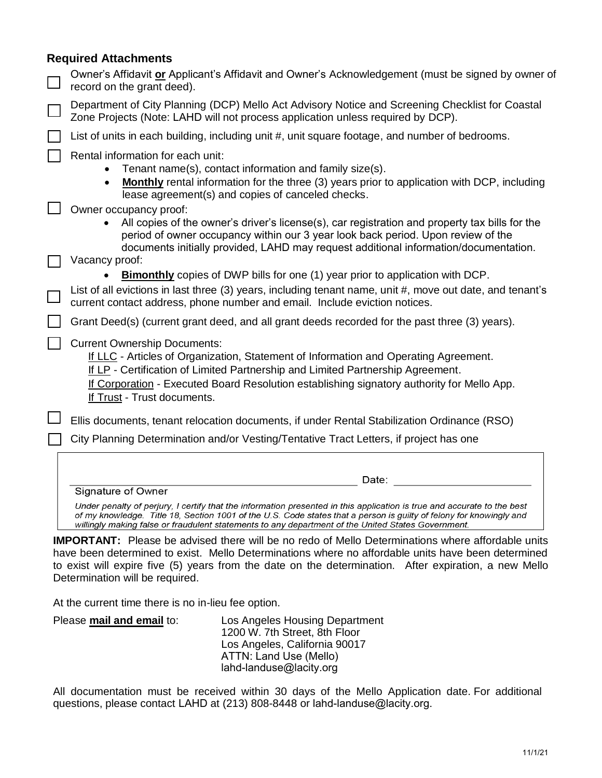## **Required Attachments**

| Owner's Affidavit or Applicant's Affidavit and Owner's Acknowledgement (must be signed by owner of<br>record on the grant deed).                                                                                                                                                                                                                                                    |
|-------------------------------------------------------------------------------------------------------------------------------------------------------------------------------------------------------------------------------------------------------------------------------------------------------------------------------------------------------------------------------------|
| Department of City Planning (DCP) Mello Act Advisory Notice and Screening Checklist for Coastal<br>Zone Projects (Note: LAHD will not process application unless required by DCP).                                                                                                                                                                                                  |
| List of units in each building, including unit #, unit square footage, and number of bedrooms.                                                                                                                                                                                                                                                                                      |
| Rental information for each unit:<br>Tenant name(s), contact information and family size(s).<br><b>Monthly</b> rental information for the three (3) years prior to application with DCP, including<br>lease agreement(s) and copies of canceled checks.<br>Owner occupancy proof:<br>All copies of the owner's driver's license(s), car registration and property tax bills for the |
| period of owner occupancy within our 3 year look back period. Upon review of the<br>documents initially provided, LAHD may request additional information/documentation.<br>Vacancy proof:                                                                                                                                                                                          |
| Bimonthly copies of DWP bills for one (1) year prior to application with DCP.                                                                                                                                                                                                                                                                                                       |
| List of all evictions in last three (3) years, including tenant name, unit #, move out date, and tenant's<br>current contact address, phone number and email. Include eviction notices.                                                                                                                                                                                             |
| Grant Deed(s) (current grant deed, and all grant deeds recorded for the past three (3) years).                                                                                                                                                                                                                                                                                      |
| <b>Current Ownership Documents:</b><br>If LLC - Articles of Organization, Statement of Information and Operating Agreement.<br>If LP - Certification of Limited Partnership and Limited Partnership Agreement.<br>If Corporation - Executed Board Resolution establishing signatory authority for Mello App.<br>If Trust - Trust documents.                                         |
| Ellis documents, tenant relocation documents, if under Rental Stabilization Ordinance (RSO)                                                                                                                                                                                                                                                                                         |
| City Planning Determination and/or Vesting/Tentative Tract Letters, if project has one                                                                                                                                                                                                                                                                                              |
|                                                                                                                                                                                                                                                                                                                                                                                     |
| Date:                                                                                                                                                                                                                                                                                                                                                                               |
| Signature of Owner                                                                                                                                                                                                                                                                                                                                                                  |
| Under penalty of perjury, I certify that the information presented in this application is true and accurate to the best<br>of my knowledge. Title 18, Section 1001 of the U.S. Code states that a person is guilty of felony for knowingly and<br>willingly making false or fraudulent statements to any department of the United States Government.                                |
| <b>IMPORTANT:</b> Please be advised there will be no redo of Mello Determinations where affordable units<br>have been determined to exist. Mello Determinations where no affordable units have been determined<br>to exist will expire five (5) years from the date on the determination. After expiration, a new Mello<br>Determination will be required.                          |
| At the current time there is no in-lieu fee option.                                                                                                                                                                                                                                                                                                                                 |
| Please mail and email to:<br>Los Angeles Housing Department<br>1200 W. 7th Street, 8th Floor                                                                                                                                                                                                                                                                                        |

ATTN: Land Use (Mello) [lahd-landuse@lacity.org](mailto:lahd-landuse@lacity.org) All documentation must be received within 30 days of the Mello Application date. For additional

questions, please contact LAHD at (213) 808-8448 or [lahd-landuse@lacity.org.](mailto:lahd-landuse@lacity.org)

Los Angeles, California 90017

11/1/21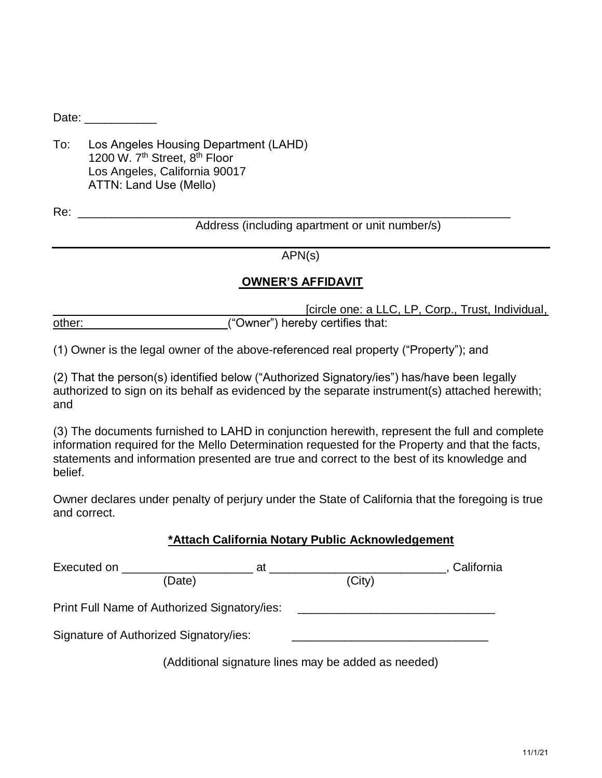Date:  $\Box$ 

To: Los Angeles Housing Department (LAHD) 1200 W. 7<sup>th</sup> Street, 8<sup>th</sup> Floor Los Angeles, California 90017 ATTN: Land Use (Mello)

Re:

Address (including apartment or unit number/s)

APN(s)

\_\_\_\_\_\_\_\_\_\_\_\_\_\_\_\_\_\_\_\_\_\_\_\_\_\_\_\_\_\_\_\_\_\_\_\_\_\_\_\_\_\_\_\_\_\_\_\_\_\_\_\_\_\_\_\_\_\_\_\_\_\_\_\_\_\_

# **OWNER'S AFFIDAVIT**

[circle one: a LLC, LP, Corp., Trust, Individual, other:  $($ "Owner") hereby certifies that:

(1) Owner is the legal owner of the above-referenced real property ("Property"); and

(2) That the person(s) identified below ("Authorized Signatory/ies") has/have been legally authorized to sign on its behalf as evidenced by the separate instrument(s) attached herewith; and

(3) The documents furnished to LAHD in conjunction herewith, represent the full and complete information required for the Mello Determination requested for the Property and that the facts, statements and information presented are true and correct to the best of its knowledge and belief.

Owner declares under penalty of perjury under the State of California that the foregoing is true and correct.

## **\*Attach California Notary Public Acknowledgement**

| Executed on <b>Executed</b> on<br>at         | California                                          |
|----------------------------------------------|-----------------------------------------------------|
| (Date)                                       | (City)                                              |
| Print Full Name of Authorized Signatory/ies: |                                                     |
| Signature of Authorized Signatory/ies:       |                                                     |
|                                              | (Additional signature lines may be added as needed) |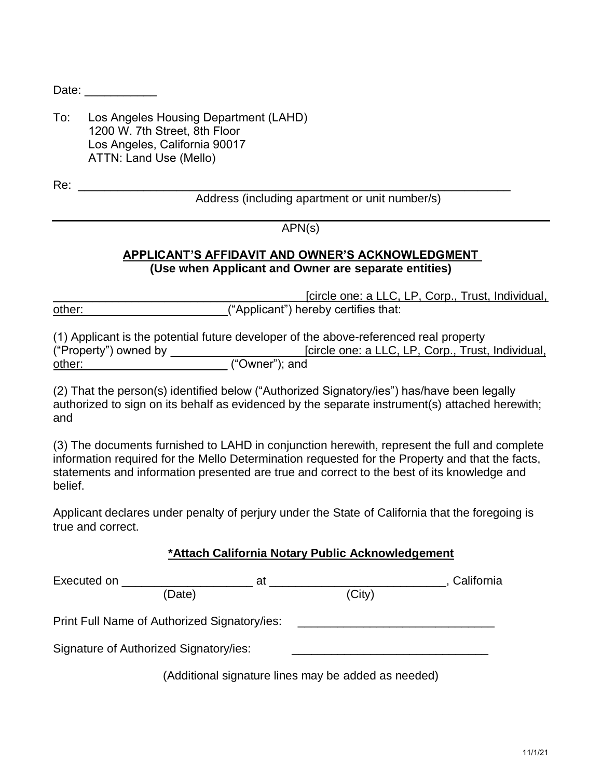Date: \_\_\_\_\_\_\_\_\_\_\_\_

To: Los Angeles Housing Department (LAHD) 1200 W. 7th Street, 8th Floor Los Angeles, California 90017 ATTN: Land Use (Mello)

\_\_\_\_\_\_\_\_\_\_\_\_\_\_\_\_\_\_\_\_\_\_\_\_\_\_\_\_\_\_\_\_\_\_\_\_\_\_\_\_\_\_\_\_\_\_\_\_\_\_\_\_\_\_\_\_\_\_\_\_\_\_\_\_\_\_ Re:

Address (including apartment or unit number/s)

# APN(s)

# **APPLICANT'S AFFIDAVIT AND OWNER'S ACKNOWLEDGMENT (Use when Applicant and Owner are separate entities)**

[circle one: a LLC, LP, Corp., Trust, Individual, other:  $($ "Applicant") hereby certifies that:

(1) Applicant is the potential future developer of the above-referenced real property ("Property") owned by \_\_\_ \_\_\_\_\_\_\_\_\_\_\_\_\_\_\_\_\_[circle one: a LLC, LP, Corp., Trust, Individual, other:  $($ "Owner"); and

(2) That the person(s) identified below ("Authorized Signatory/ies") has/have been legally authorized to sign on its behalf as evidenced by the separate instrument(s) attached herewith; and

(3) The documents furnished to LAHD in conjunction herewith, represent the full and complete information required for the Mello Determination requested for the Property and that the facts, statements and information presented are true and correct to the best of its knowledge and belief.

Applicant declares under penalty of perjury under the State of California that the foregoing is true and correct.

| *Attach California Notary Public Acknowledgement |  |  |
|--------------------------------------------------|--|--|
|                                                  |  |  |

| Executed on ______________                   | at                                                  |        | California |
|----------------------------------------------|-----------------------------------------------------|--------|------------|
| (Date)                                       |                                                     | (City) |            |
| Print Full Name of Authorized Signatory/ies: |                                                     |        |            |
| Signature of Authorized Signatory/ies:       |                                                     |        |            |
|                                              | (Additional signature lines may be added as needed) |        |            |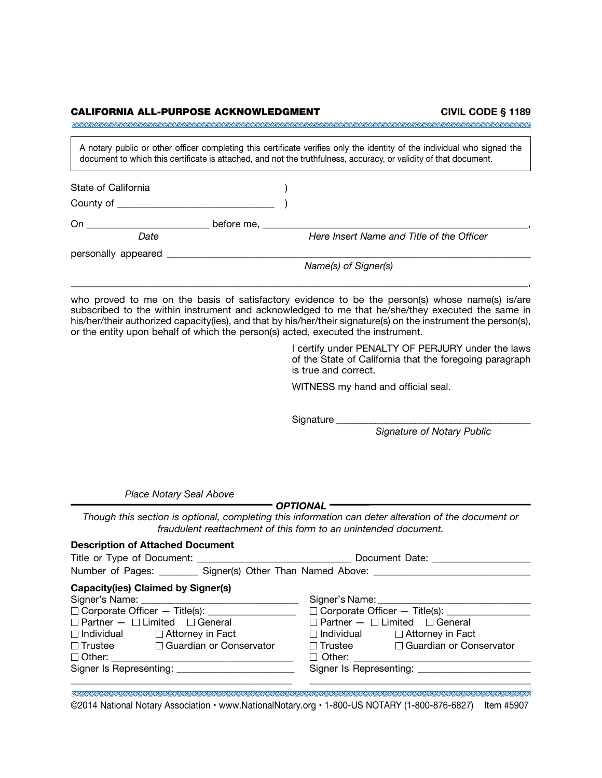| CALIFORNIA ALL-PURPOSE ACKNOWLEDGMENT         | CIVIL CODE § 1189                                                                                                                                                                                                                                                                                                                                                                                          |
|-----------------------------------------------|------------------------------------------------------------------------------------------------------------------------------------------------------------------------------------------------------------------------------------------------------------------------------------------------------------------------------------------------------------------------------------------------------------|
|                                               | A notary public or other officer completing this certificate verifies only the identity of the individual who signed the<br>document to which this certificate is attached, and not the truthfulness, accuracy, or validity of that document.                                                                                                                                                              |
| State of California                           |                                                                                                                                                                                                                                                                                                                                                                                                            |
|                                               |                                                                                                                                                                                                                                                                                                                                                                                                            |
|                                               |                                                                                                                                                                                                                                                                                                                                                                                                            |
| Date<br>personally appeared _                 | Here Insert Name and Title of the Officer                                                                                                                                                                                                                                                                                                                                                                  |
|                                               | Name(s) of Signer(s)                                                                                                                                                                                                                                                                                                                                                                                       |
|                                               | who proved to me on the basis of satisfactory evidence to be the person(s) whose name(s) is/are<br>subscribed to the within instrument and acknowledged to me that he/she/they executed the same in<br>his/her/their authorized capacity(ies), and that by his/her/their signature(s) on the instrument the person(s),<br>or the entity upon behalf of which the person(s) acted, executed the instrument. |
|                                               | I certify under PENALTY OF PERJURY under the laws<br>of the State of California that the foregoing paragraph<br>is true and correct.                                                                                                                                                                                                                                                                       |
|                                               | WITNESS my hand and official seal.                                                                                                                                                                                                                                                                                                                                                                         |
|                                               | Signature ______                                                                                                                                                                                                                                                                                                                                                                                           |
|                                               | <b>Signature of Notary Public</b>                                                                                                                                                                                                                                                                                                                                                                          |
|                                               |                                                                                                                                                                                                                                                                                                                                                                                                            |
| Place Notary Seal Above                       |                                                                                                                                                                                                                                                                                                                                                                                                            |
|                                               | – OPTIONAL —<br>Though this section is optional, completing this information can deter alteration of the document or<br>fraudulent reattachment of this form to an unintended document.                                                                                                                                                                                                                    |
| <b>Description of Attached Document</b>       |                                                                                                                                                                                                                                                                                                                                                                                                            |
|                                               | Number of Pages: _________ Signer(s) Other Than Named Above: ____________________                                                                                                                                                                                                                                                                                                                          |
| <b>Capacity(ies) Claimed by Signer(s)</b>     |                                                                                                                                                                                                                                                                                                                                                                                                            |
|                                               |                                                                                                                                                                                                                                                                                                                                                                                                            |
|                                               |                                                                                                                                                                                                                                                                                                                                                                                                            |
| $\Box$ Partner $ \Box$ Limited $\Box$ General | $\Box$ Partner $ \Box$ Limited $\Box$ General                                                                                                                                                                                                                                                                                                                                                              |

| .             |  |
|---------------|--|
| $\Box$ Other: |  |
|               |  |

Signer Is Representing: \_\_\_\_\_\_\_\_\_\_\_\_\_\_\_\_\_\_\_\_\_\_\_\_\_\_\_\_\_\_\_\_Signer Is Representing: \_\_\_\_\_\_\_\_\_\_\_\_\_\_\_\_\_\_\_\_

| Individual              | $\Box$ Attorney in Fact        | $\Box$ Individual       | $\Box$ Attorney in Fact   |
|-------------------------|--------------------------------|-------------------------|---------------------------|
| Trustee                 | $\Box$ Guardian or Conservator | $\Box$ Trustee          | □ Guardian or Conservator |
| Other:                  |                                | $\Box$ Other:           |                           |
| gner Is Representing: _ |                                | Signer Is Representing: |                           |
|                         |                                |                         |                           |

 ©2014 National Notary Association • [www.NationalNotary.org](http:www.NationalNotary.org) • 1-800-US NOTARY (1-800-876-6827) Item #5907•

\_\_\_\_\_\_\_\_\_\_\_\_\_\_\_\_\_\_\_\_\_\_\_\_\_\_\_\_\_\_\_\_\_\_\_\_\_\_\_\_\_\_\_\_\_ \_\_\_\_\_\_\_\_\_\_\_\_\_\_\_\_\_\_\_\_\_\_\_\_\_\_\_\_\_\_\_\_\_\_\_\_\_\_\_\_\_\_\_\_\_